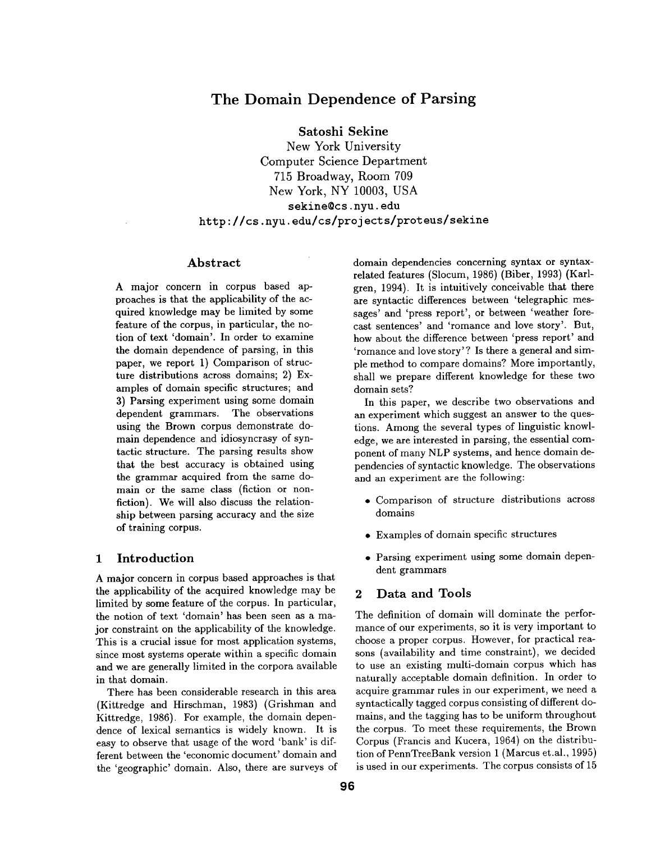# **The Domain Dependence of Parsing**

**Satoshi Sekine** 

New York University Computer Science Department 715 Broadway, Room 709 New York, NY 10003, USA sekine@cs, nyu. **edu**  http://cs.nyu.edu/cs/projects/proteus/sekine

### Abstract

A major concern in corpus based approaches is that the applicability of the acquired knowledge may be limited by some feature of the corpus, in particular, the notion of text 'domain'. In order to examine **the** domain dependence of parsing, in this paper, we report 1) Comparison of structure distributions across domains; 2) Examples of domain specific structures; and 3) Parsing experiment using some domain dependent grammars. The observations using the Brown corpus demonstrate domain dependence and idiosyncrasy of syntactic structure. The parsing results show that the best accuracy is obtained using **the** grammar acquired from the same domain or the same class (fiction or nonfiction). We will also discuss the relationship between parsing accuracy and the size of training corpus.

### **1 Introduction**

A major concern in corpus based approaches is that the applicability of the acquired knowledge may be limited by some feature of the corpus. In particular, the notion of text 'domain' has been seen as a major constraint on the applicability of the knowledge. This is a crucial issue for most application systems, since most systems operate within a specific domain and we are generally limited in the corpora available in that domain.

There has been considerable research in this area (Kittredge and Hirschman, 1983) (Grishman and Kittredge, 1986). For example, the domain dependence of lexical semantics is widely known. It is easy to observe that usage of the word 'bank' is different between the 'economic document' domain and the 'geographic' domain. Also, there are surveys of

domain dependencies concerning syntax or syntaxrelated features (Slocum, 1986) (Biber, 1993) (Karlgren, 1994). It is intuitively conceivable that there are syntactic differences between 'telegraphic messages' and 'press report', or between 'weather forecast sentences' and 'romance and love story'. But, how about the difference between 'press report' and 'romance and love story'? Is there a general and simple method to compare domains? More importantly, shall we prepare different knowledge for these two domain sets?

In this paper, we describe two observations and an experiment which suggest an answer to the questions. Among the several types of linguistic knowledge, we are interested in parsing, the essential component of many NLP systems, and hence domain dependencies of syntactic knowledge. The observations and an experiment are the following:

- Comparison of structure distributions across domains
- Examples of domain specific structures
- Parsing experiment using some domain dependent grammars

## 2 Data and Tools

The definition of domain will dominate the performance of our experiments, so it is very important to choose a proper corpus. However, for practical reasons (availability and time constraint), we decided to use an existing multi-domain corpus which has naturally acceptable domain definition. In order to acquire grammar rules in our experiment, we need a syntactically tagged corpus consisting of different domains, and the tagging has to be uniform throughout the corpus. To meet these requirements, the Brown Corpus (Francis and Kucera, 1964) on the distribution of PennTreeBank version 1 (Marcus et.al., 1995) is used in our experiments. The corpus consists of 15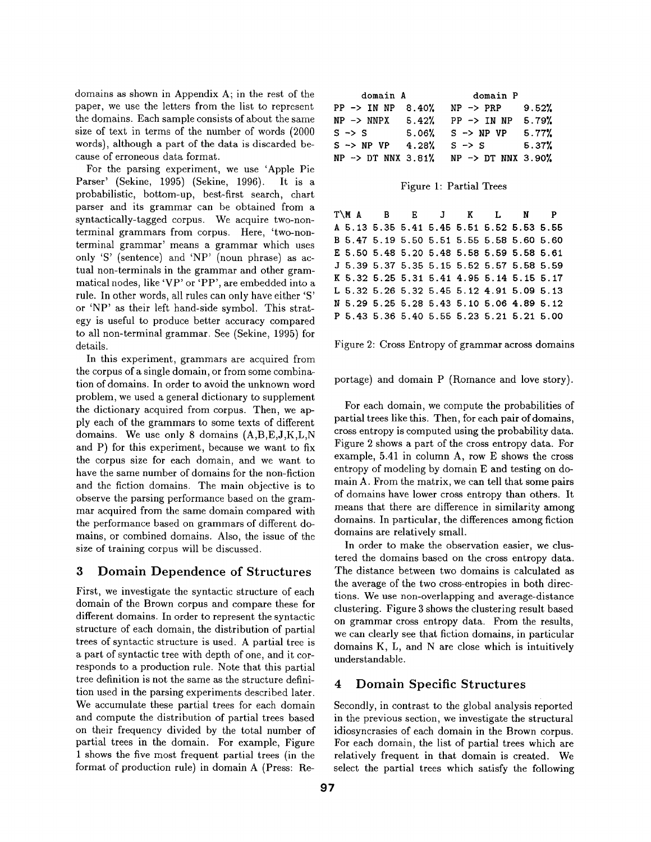domains as shown in Appendix A; in the rest of the paper, we use the letters from the list to represent the domains. Each sample consists of about the same size of text in terms of the number of words (2000 words), although a part of the data is discarded because of erroneous data format.

For the parsing experiment, we use 'Apple Pie Parser' (Sekine, 1995) (Sekine, 1996). It is a probabilistic, bottom-up, best-first search, chart parser and its grammar can be obtained from a syntactically-tagged corpus. We acquire two-nonterminal grammars from corpus. Here, 'two-nonterminal grammar' means a grammar which uses only 'S' (sentence) and 'NP' (noun phrase) as actual non-terminals in the grammar and other grammatical nodes, like 'VP' or 'PP', are embedded into a rule. In other words, all rules can only have either 'S' or 'NP' as their left hand-side symbol. This strategy is useful to produce better accuracy compared to all non-terminal grammar. See (Sekine, 1995) for details.

In this experiment, grammars are acquired from the corpus of a single domain, or from some combination of domains. In order to avoid the unknown word problem, we used a general dictionary to supplement the dictionary acquired from corpus. Then, we apply each of the grammars to some texts of different domains. We use only 8 domains (A,B,E,J,K,L,N and P) for this experiment, because we want to fix the corpus size for each domain, and we want to have the same number of domains for the non-fiction and the fiction domains. The main objective is to observe the parsing performance based on the grammar acquired from the same domain compared with the performance based on grammars of different domains, or combined domains. Also, the issue of the size of training corpus will be discussed.

### 3 Domain Dependence of Structures

First, we investigate the syntactic structure of each domain of the Brown corpus and compare these for different domains. In order to represent the syntactic structure of each domain, the distribution of partial trees of syntactic structure is used. A partial tree is a part of syntactic tree with depth of one, and it corresponds to a production rule. Note that this partial tree definition is not the same as the structure definition used in the parsing experiments described later. We accumulate these partial trees for each domain and compute the distribution of partial trees based on their frequency divided by the total number of partial trees in the domain. For example, Figure 1 shows the five most frequent partial trees (in the format of production rule) in domain A (Press: Re-

| domain A                      |       | domain P                       |       |  |  |
|-------------------------------|-------|--------------------------------|-------|--|--|
| $PP \rightarrow IN NP 8.40$ % |       | $NP \rightarrow PRP$           | 9.52% |  |  |
| $NP \rightarrow NNPX$         | 5.42% | $PP \rightarrow IN NP$         | 5.79% |  |  |
| $S \rightarrow S$             |       | $5.06\%$ S $\rightarrow$ NP VP | 5.77% |  |  |
| $S \rightarrow NP VP$         | 4.28% | $S \rightarrow S$              | 5.37% |  |  |
| $NP \rightarrow DT NNX 3.81%$ |       | NP -> DT NNX 3.90%             |       |  |  |

#### Figure 1: Partial Trees

|  | T\MABEJKLNP                               |  |  |  |
|--|-------------------------------------------|--|--|--|
|  | A 5.13 5.35 5.41 5.45 5.51 5.52 5.53 5.55 |  |  |  |
|  | B 5.47 5.19 5.50 5.51 5.55 5.58 5.60 5.60 |  |  |  |
|  | E 5.50 5.48 5.20 5.48 5.58 5.59 5.58 5.61 |  |  |  |
|  | J 5.39 5.37 5.35 5.15 5.52 5.57 5.58 5.59 |  |  |  |
|  | K 5.32 5.25 5.31 5.41 4.95 5.14 5.15 5.17 |  |  |  |
|  | L 5.32 5.26 5.32 5.45 5.12 4.91 5.09 5.13 |  |  |  |
|  | N 5.29 5.25 5.28 5.43 5.10 5.06 4.89 5.12 |  |  |  |
|  | P 5.43 5.36 5.40 5.55 5.23 5.21 5.21 5.00 |  |  |  |
|  |                                           |  |  |  |

#### Figure 2: Cross Entropy of grammar across domains

portage) and domain P (Romance and love story).

For each domain, we compute the probabilities of partial trees like this. Then, for each pair of domains, cross entropy is computed using the probability data. Figure 2 shows a part of the cross entropy data. For example, 5.41 in column A, row E shows the cross entropy of modeling by domain E and testing on domain A. From the matrix, we can tell that some pairs of domains have lower cross entropy than others. It means that there are difference in similarity among domains. In particular, the differences among fiction domains are relatively small.

In order to make the observation easier, we clustered the domains based on the cross entropy data. The distance between two domains is calculated as the average of the two cross-entropies in both directions. We use non-overlapping and average-distance clustering. Figure 3 shows the clustering result based on grammar cross entropy data. From the results, we can clearly see that fiction domains, in particular domains K, L, and N are close which is intuitively understandable.

### **4 Domain Specific Structures**

Secondly, in contrast to the global analysis reported in the previous section, we investigate the structural idiosyncrasies of each domain in the Brown corpus. For each domain, the list of partial trees which are relatively frequent in that domain is created. We select the partial trees which satisfy the following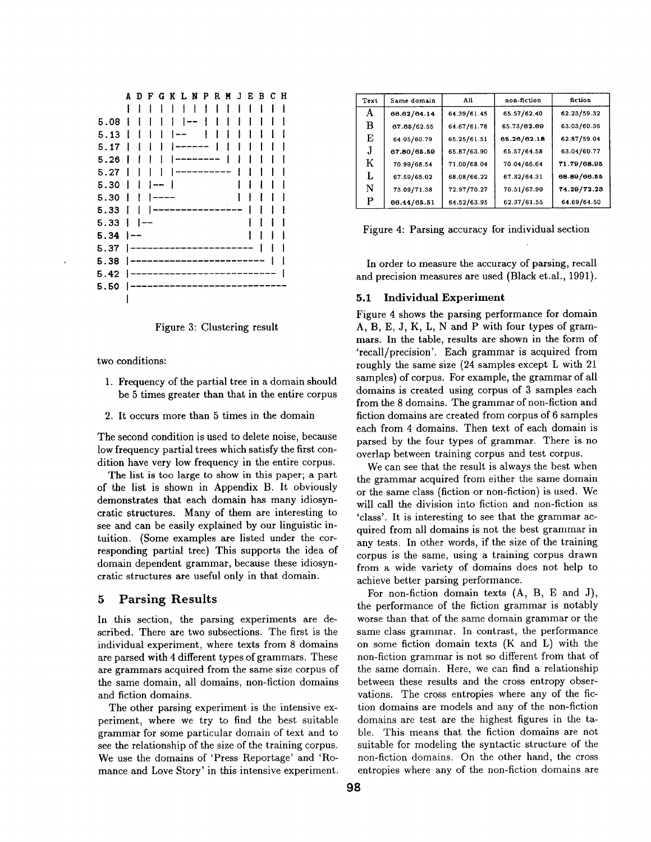|      | A    | D | $\mathbf{F}$           |     |   | G K L N P        |                          |        | R M J | EВ | сн |  |
|------|------|---|------------------------|-----|---|------------------|--------------------------|--------|-------|----|----|--|
|      |      |   |                        |     | ı |                  | ł                        | ł      |       |    |    |  |
| 5.08 |      |   |                        |     | I |                  | $\overline{\phantom{a}}$ | ŧ      |       |    |    |  |
| 5.13 |      |   |                        |     |   |                  |                          |        |       |    |    |  |
| 5.17 |      |   |                        |     |   |                  |                          |        |       |    |    |  |
| 5.26 |      |   |                        |     |   |                  |                          |        |       |    |    |  |
| 5.27 |      |   |                        |     |   |                  |                          | ------ |       |    |    |  |
| 5.30 | I    |   |                        | 1-- |   |                  |                          |        |       |    |    |  |
| 5.30 |      |   |                        |     |   |                  |                          |        |       |    |    |  |
| 5.33 | I    |   |                        |     |   |                  |                          |        |       |    |    |  |
| 5.33 | ł    |   | $\qquad \qquad \cdots$ |     |   |                  |                          |        |       |    |    |  |
| 5.34 | i –– |   |                        |     |   |                  |                          |        |       |    |    |  |
| 5.37 |      |   |                        |     |   | ---------------- |                          |        |       |    |    |  |
| 5.38 |      |   |                        |     |   |                  |                          |        |       |    |    |  |
| 5.42 |      |   |                        |     |   | __________       |                          |        |       |    |    |  |
| 5.50 |      |   |                        |     |   |                  |                          |        |       |    |    |  |
|      |      |   |                        |     |   |                  |                          |        |       |    |    |  |



two conditions:

- 1. Frequency of the partial tree in a domain should be 5 times greater than that in the entire corpus
- 2. It occurs more than 5 times in the domain

The second condition is used to delete noise, because low frequency partial trees which satisfy the first condition have very low frequency in the entire corpus.

The list is too large to show in this paper; a part of the list is shown in Appendix B. It obviously demonstrates that each domain has many idiosyncratic structures. Many of them are interesting to see and can be easily explained by our linguistic intuition. (Some examples are listed under the corresponding partial tree) This supports the idea of domain dependent grammar, because these idiosyncratic structures are useful only in that domain.

### **5 Parsing Results**

In this section, the parsing experiments are described. There are two subsections. The first is the individual experiment, where texts from 8 domains are parsed with 4 different types of grammars. These are grammars acquired from the same size corpus of the same domain, all domains, non-fiction domains and fiction domains.

The other parsing experiment is the intensive experiment, where we try to find the best suitable grammar for some particular domain of text and to see the relationship of the size of the training corpus. We use the domains of 'Press Reportage' and 'Romance and Love Story' in this intensive experiment.

| Text | Same domain | All         | non-fiction | fiction     |
|------|-------------|-------------|-------------|-------------|
| A    | 66.62/64.14 | 64.39/61.45 | 65.57/62.40 | 62.23/59.32 |
| в    | 67.65/62.55 | 64.67/61.78 | 65.73/62.69 | 63.03/60.36 |
| E    | 64.05/60.79 | 65.25/61.51 | 65.26/62.18 | 62.87/59.04 |
| J.   | 67.80/65.59 | 65.87/63.90 | 65.57/64.58 | 63.04/60.77 |
| K    | 70.99/68.54 | 71.00/68.04 | 70.04/66.64 | 71.79/68.95 |
| L    | 67.59/65.02 | 68.08/66.22 | 67.32/64.31 | 68.89/66.55 |
| N    | 73.09/71.38 | 72.97/70.27 | 70.51/67.90 | 74.29/72.28 |
| P    | 66.44/65.51 | 64.52/63.95 | 62.37/61.55 | 64.69/64.50 |

Figure 4: Parsing accuracy for individual section

In order to measure the accuracy of parsing, recall and precision measures are used (Black et.al., 1991).

#### 5.1 Individual Experiment

Figure 4 shows the parsing performance for domain A, B, E, J, K, L, N and P with four types of grammars. In the table, results are shown in the form of 'recall/precision'. Each grammar is acquired from roughly the same size (24 samples except L with 21 samples) of corpus. For example, the grammar of all domains is created using corpus of 3 samples each from the 8 domains. The grammar of non-fiction and fiction domains are created from corpus of 6 samples each from 4 domains. Then text of each domain is parsed by the four types of grammar. There is no overlap between training corpus and test corpus.

We can see that the result is always the best when the grammar acquired from either the same domain or the same class (fiction or non-fiction) is used. We will call the division into fiction and non-fiction as 'class'. It is interesting to see that the grammar acquired from all domains is not the best grammar in any tests. In other words, if the size of the training corpus is the same, using a training corpus drawn from a wide variety of domains does not help to achieve better parsing performance.

For non-fiction domain texts (A, B, E and J), the performance of the fiction grammar is notably worse than that of the same domain grammar or the same class grammar. In contrast, the performance on some fiction domain texts (K and L) with the non-fiction grammar is not so different from that of the same domain. Here, we can find a relationship between these results and the cross entropy observations. The cross entropies where any of the fiction domains are models and any of the non-fiction domains are test are the highest figures in the table. This means that the fiction domains are not suitable for modeling the syntactic structure of the non-fiction domains. On the other hand, the cross entropies where any of the non-fiction domains are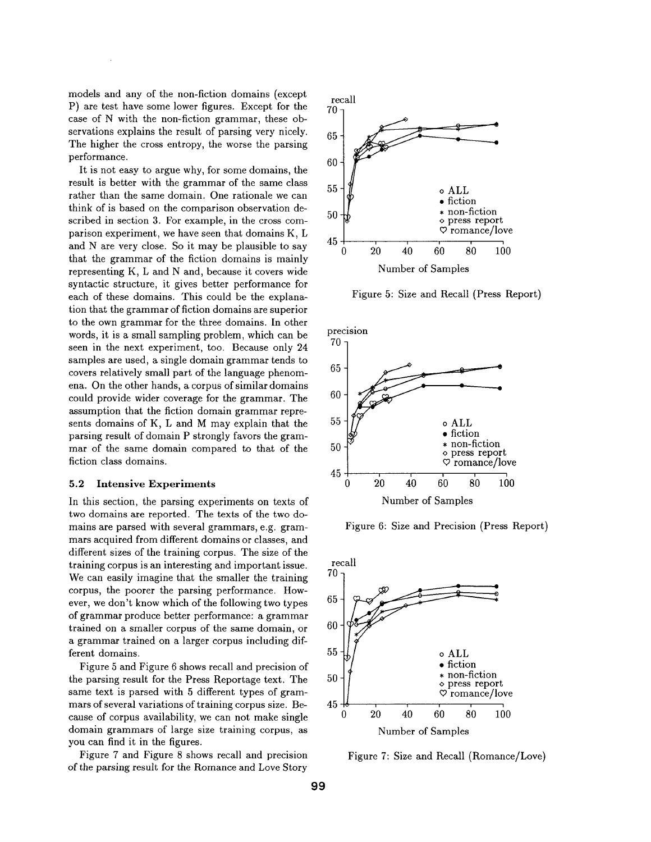models and any of the non-fiction domains (except P) are test have some lower figures. Except for the case of N with the non-fiction grammar, these observations explains the result of parsing very nicely. The higher the cross entropy, the worse the parsing performance.

It is not easy to argue why, for some domains, the result is better with the grammar of the same class rather than the same domain. One rationale we can think of is based on the comparison observation described in section 3. For example, in the cross comparison experiment, we have seen that domains K, L and N are very close. So it may be plausible to say that the grammar of the fiction domains is mainly representing K, L and N and, because it covers wide syntactic structure, it gives better performance for each of these domains. This could be the explanation that the grammar of fiction domains are superior to the own grammar for the three domains. In other words, it is a small sampling problem, which can be seen in the next experiment, too. Because only 24 samples are used, a single domain grammar tends to covers relatively small part of the language phenomena. On the other hands, a corpus of similar domains could provide wider coverage for the grammar. The assumption that the fiction domain grammar represents domains of K, L and M may explain that the parsing result of domain P strongly favors the grammar of the same domain compared to that of the fiction class domains.

#### **5.2 Intensive Experiments**

In this section, the parsing experiments on texts of two domains are reported. The texts of the two domains are parsed with several grammars, e.g. grammars acquired from different domains or classes, and different sizes of the training corpus. The size of the training corpus is an interesting and important issue. We can easily imagine that the smaller the training corpus, the poorer the parsing performance. However, we don't know which of the following two types of grammar produce better performance: a grammar trained on a smaller corpus of the same domain, or a grammar trained on a larger corpus including different domains.

Figure 5 and Figure 6 shows recall and precision of the parsing result for the Press Reportage text. The same text is parsed with 5 different types of grammars of several variations of training corpus size. Because of corpus availability, we can not make single domain grammars of large size training corpus, as you can find it in the figures.

Figure 7 and Figure 8 shows recall and precision of the parsing result for the Romance and Love Story



Figure 5: Size and Recall (Press Report)



Figure 6: Size and Precision (Press Report)



Figure 7: Size and Recall (Romance/Love)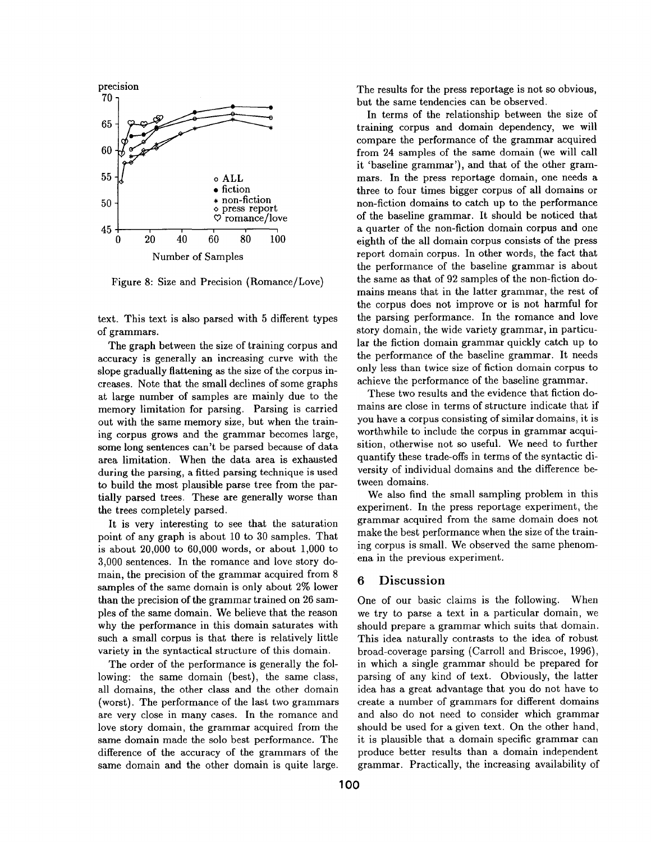

Figure 8: Size and Precision (Romance/Love)

text. This text is also parsed with 5 different types of grammars.

The graph between the size of training corpus and accuracy is generally an increasing curve with the slope gradually flattening as the size of the corpus increases. Note that the small declines of some graphs at large number of samples are mainly due to the memory limitation for parsing. Parsing is carried out with the same memory size, but when the training corpus grows and the grammar becomes large, some long sentences can't be parsed because of data area limitation. When the data area is exhausted during the parsing, a fitted parsing technique is used to build the most plausible parse tree from the partially parsed trees. These are generally worse than the trees completely parsed.

It is very interesting to see that the saturation point of any graph is about 10 to 30 samples. That is about 20,000 to 60,000 words, or about 1,000 to 3,000 sentences. In the romance and love story domain, the precision of the grammar acquired from 8 samples of the same domain is only about 2% lower than the precision of the grammar trained on 26 samples of the same domain. We believe that the reason why the performance in this domain saturates with such a small corpus is that there is relatively little variety in the syntactical structure of this domain.

The order of the performance is generally the following: the same domain (best), the same class, all domains, the other class and the other domain (worst). The performance of the last two grammars are very close in many cases. In the romance and love story domain, the grammar acquired from the same domain made the solo best performance. The difference of the accuracy of the grammars of the same domain and the other domain is quite large.

The results for the press reportage is not so obvious, but the same tendencies can be observed.

In terms of the relationship between the size of training corpus and domain dependency, we will compare the performance of the grammar acquired from 24 samples of the same domain (we will call it 'baseline grammar'), and that of the other grammars. In the press reportage domain, one needs a three to four times bigger corpus of all domains or non-fiction domains to catch up to the performance of the baseline grammar. It should be noticed that a quarter of the non-fiction domain corpus and one eighth of the all domain corpus consists of the press report domain corpus. In other words, the fact that the performance of the baseline grammar is about the same as that of 92 samples of the non-fiction domains means that in the latter grammar, the rest of the corpus does not improve or is not harmful for the parsing performance. In the romance and love story domain, the wide variety grammar, in particular the fiction domain grammar quickly catch up to the performance of the baseline grammar. It needs only less than twice size of fiction domain corpus to achieve the performance of the baseline grammar.

These two results and the evidence that fiction domains are close in terms of structure indicate that if you have a corpus consisting of similar domains, it is worthwhile to include the corpus in grammar acquisition, otherwise not so useful. We need to further quantify these trade-offs in terms of the syntactic diversity of individual domains and the difference between domains.

We also find the small sampling problem in this experiment. In the press reportage experiment, the grammar acquired from the same domain does not make the best performance when the size of the training corpus is small. We observed the same phenomena in the previous experiment.

#### **6** Discussion

One of our basic claims is the following. When we try to parse a text in a particular domain, we should prepare a grammar which suits that domain. This idea naturally contrasts to the idea of robust broad-coverage parsing (Carroll and Briscoe, 1996), in which a single grammar should be prepared for parsing of any kind of text. Obviously, the latter idea has a great advantage that you do not have to create a number of grammars for different domains and also do not need to consider which grammar should be used for a given text. On the other hand, it is plausible that a domain specific grammar can produce better results than a domain independent grammar. Practically, the increasing availability of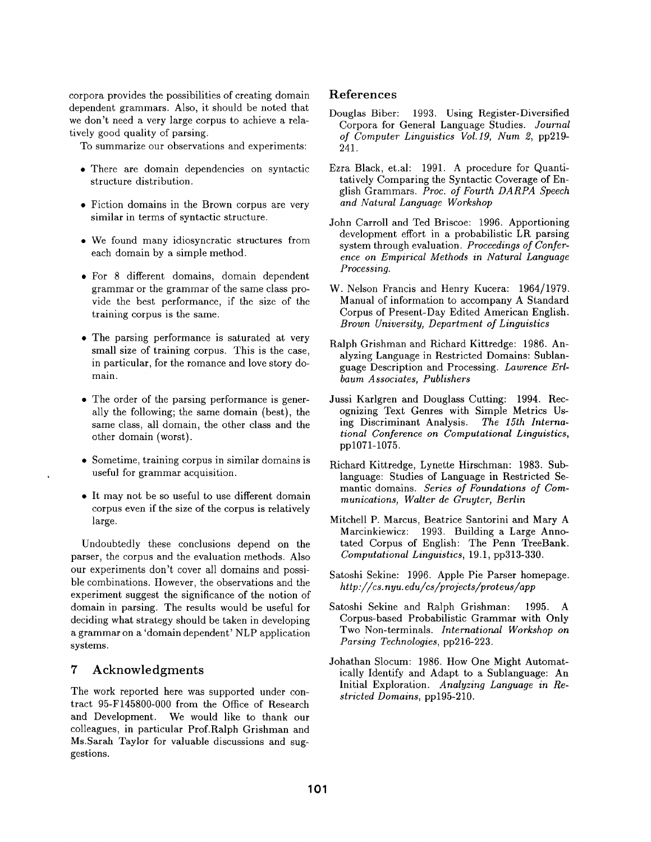corpora provides the possibilities of creating domain dependent grammars. Also, it should be noted that we don't need a very large corpus to achieve a relatively good quality of parsing.

To summarize our observations and experiments:

- There are domain dependencies on syntactic structure distribution.
- Fiction domains in the Brown corpus are very similar in terms of syntactic structure.
- We found many idiosyncratic structures from each domain by a simple method.
- For 8 different domains, domain dependent grammar or the grammar of the same class provide the best performance, if the size of the training corpus is the same.
- The parsing performance is saturated at very small size of training corpus. This is the case, in particular, for the romance and love story domain.
- The order of the parsing performance is generally the following; the same domain (best), the same class, all domain, the other class and the other domain (worst).
- Sometime, training corpus in similar domains is useful for grammar acquisition.
- It may not be so useful to use different domain corpus even if the size of the corpus is relatively large.

Undoubtedly these conclusions depend on the parser, the corpus and the evaluation methods. Also our experiments don't cover all domains and possible combinations. However, the observations and the experiment suggest the significance of the notion of domain in parsing. The results would be useful for deciding what strategy should be taken in developing a grammar on a 'domain dependent' NLP application systems.

### **<sup>7</sup>**Acknowledgments

The work reported here was supported under contract 95-F145800-000 from the Office of Research and Development. We would like to thank our colleagues, in particular Prof.Ralph Grishman and Ms.Sarah Taylor for valuable discussions and suggestions.

### **References**

- Douglas Biber: 1993. Using Register-Diversified Corpora for General Language Studies. *Journal of Computer Linguistics Vol.19, Num 2,* pp219- 241.
- Ezra Black, et.al: 1991. A procedure for Quantitatively Comparing the Syntactic Coverage of English Grammars. *Proc. of Fourth DARPA Speech and Natural Language Workshop*
- John Carroll and Ted Briscoe: 1996. Apportioning development effort in a probabilistic LR parsing system through evaluation. *Proceedings of Conference on Empirical Methods in Natural Language Processing.*
- W. Nelson Francis and Henry Kucera: 1964/1979. Manual of information to accompany A Standard Corpus of Present-Day Edited American English. *Brown University, Department of Linguistics*
- Ralph Grishman and Richard Kittredge: 1986. Analyzing Language in Restricted Domains: Sublanguage Description and Processing. *Lawrence Erlbaum Associates, Publishers*
- Jussi Karlgren and Douglass Cutting: 1994. Recognizing Text Genres with Simple Metrics Using Discriminant Analysis. The 15th Internaing Discriminant Analysis. *tional Conference on Computational Linguistics,*  pp1071-1075.
- Richard Kittredge, Lynette Hirschman: 1983. Sublanguage: Studies of Language in Restricted Semantic domains. *Series of Foundations of Communications, Walter de Gruyter, Berlin*
- Mitchell P. Marcus, Beatrice Santorini and Mary A Marcinkiewicz: 1993. Building a Large Annotated Corpus of English: The Penn TreeBank. *Computational Linguistics,* 19.1, pp313-330.
- Satoshi Sekine: 1996. Apple Pie Parser homepage. *http://cs, nyu. edu/cs/projects/proteus/app*
- Satoshi Sekine and Ralph Grishman: 1995. A Corpus-based Probabilistic Grammar with Only Two Non-terminals. *International Workshop on Parsing Technologies,* pp216-223.
- Johathan Slocum: 1986. How One Might Automatically Identify and Adapt to a Sublanguage: An Initial Exploration. *Analyzing Language in Restricted Domains,* pp195-210.